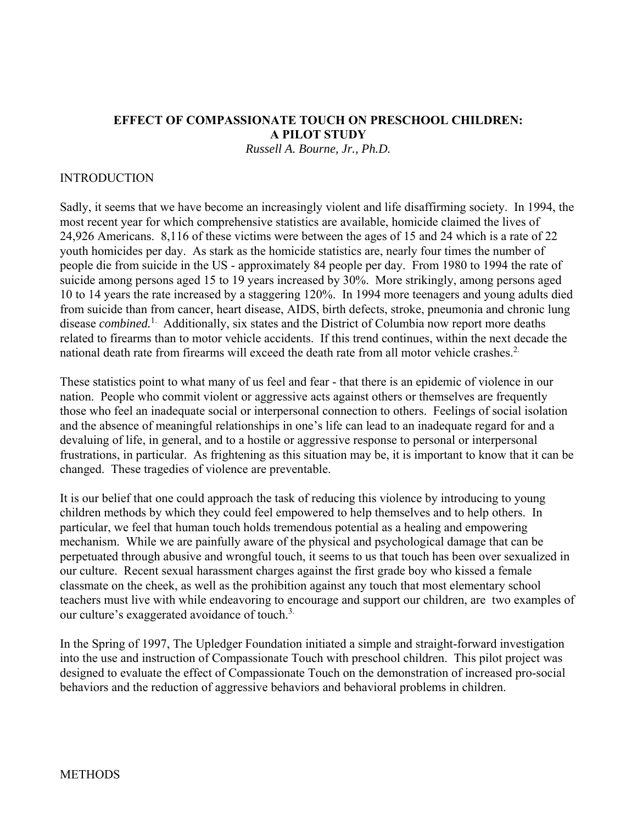### **EFFECT OF COMPASSIONATE TOUCH ON PRESCHOOL CHILDREN: A PILOT STUDY**  *Russell A. Bourne, Jr., Ph.D.*

### INTRODUCTION

Sadly, it seems that we have become an increasingly violent and life disaffirming society. In 1994, the most recent year for which comprehensive statistics are available, homicide claimed the lives of 24,926 Americans. 8,116 of these victims were between the ages of 15 and 24 which is a rate of 22 youth homicides per day. As stark as the homicide statistics are, nearly four times the number of people die from suicide in the US - approximately 84 people per day. From 1980 to 1994 the rate of suicide among persons aged 15 to 19 years increased by 30%. More strikingly, among persons aged 10 to 14 years the rate increased by a staggering 120%. In 1994 more teenagers and young adults died from suicide than from cancer, heart disease, AIDS, birth defects, stroke, pneumonia and chronic lung disease *combined.*1. Additionally, six states and the District of Columbia now report more deaths related to firearms than to motor vehicle accidents. If this trend continues, within the next decade the national death rate from firearms will exceed the death rate from all motor vehicle crashes.<sup>2</sup>

These statistics point to what many of us feel and fear - that there is an epidemic of violence in our nation. People who commit violent or aggressive acts against others or themselves are frequently those who feel an inadequate social or interpersonal connection to others. Feelings of social isolation and the absence of meaningful relationships in one's life can lead to an inadequate regard for and a devaluing of life, in general, and to a hostile or aggressive response to personal or interpersonal frustrations, in particular. As frightening as this situation may be, it is important to know that it can be changed. These tragedies of violence are preventable.

It is our belief that one could approach the task of reducing this violence by introducing to young children methods by which they could feel empowered to help themselves and to help others. In particular, we feel that human touch holds tremendous potential as a healing and empowering mechanism. While we are painfully aware of the physical and psychological damage that can be perpetuated through abusive and wrongful touch, it seems to us that touch has been over sexualized in our culture. Recent sexual harassment charges against the first grade boy who kissed a female classmate on the cheek, as well as the prohibition against any touch that most elementary school teachers must live with while endeavoring to encourage and support our children, are two examples of our culture's exaggerated avoidance of touch.<sup>3.</sup>

In the Spring of 1997, The Upledger Foundation initiated a simple and straight-forward investigation into the use and instruction of Compassionate Touch with preschool children. This pilot project was designed to evaluate the effect of Compassionate Touch on the demonstration of increased pro-social behaviors and the reduction of aggressive behaviors and behavioral problems in children.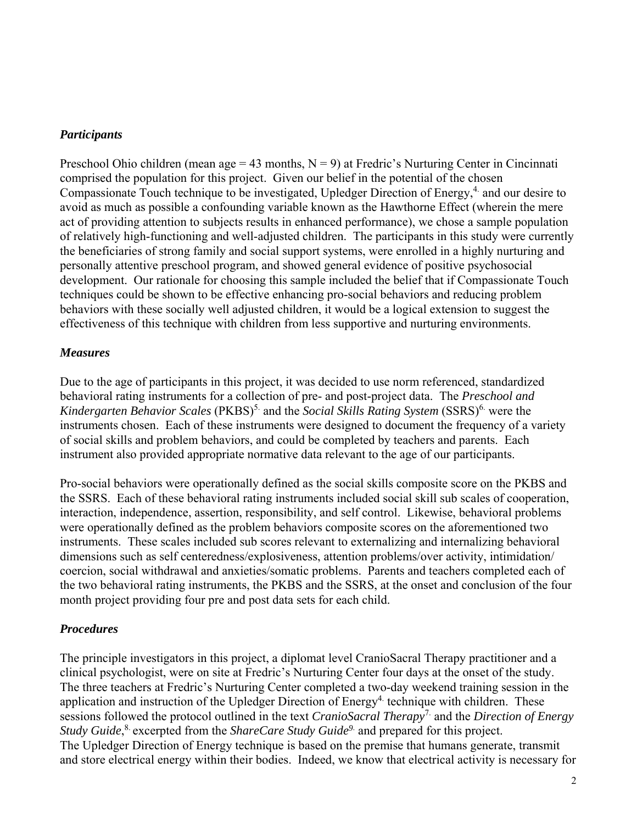## *Participants*

Preschool Ohio children (mean age = 43 months,  $N = 9$ ) at Fredric's Nurturing Center in Cincinnati comprised the population for this project. Given our belief in the potential of the chosen Compassionate Touch technique to be investigated, Upledger Direction of Energy,<sup>4.</sup> and our desire to avoid as much as possible a confounding variable known as the Hawthorne Effect (wherein the mere act of providing attention to subjects results in enhanced performance), we chose a sample population of relatively high-functioning and well-adjusted children. The participants in this study were currently the beneficiaries of strong family and social support systems, were enrolled in a highly nurturing and personally attentive preschool program, and showed general evidence of positive psychosocial development. Our rationale for choosing this sample included the belief that if Compassionate Touch techniques could be shown to be effective enhancing pro-social behaviors and reducing problem behaviors with these socially well adjusted children, it would be a logical extension to suggest the effectiveness of this technique with children from less supportive and nurturing environments.

## *Measures*

Due to the age of participants in this project, it was decided to use norm referenced, standardized behavioral rating instruments for a collection of pre- and post-project data. The *Preschool and Kindergarten Behavior Scales* (PKBS)<sup>5.</sup> and the *Social Skills Rating System* (SSRS)<sup>6.</sup> were the instruments chosen. Each of these instruments were designed to document the frequency of a variety of social skills and problem behaviors, and could be completed by teachers and parents. Each instrument also provided appropriate normative data relevant to the age of our participants.

Pro-social behaviors were operationally defined as the social skills composite score on the PKBS and the SSRS. Each of these behavioral rating instruments included social skill sub scales of cooperation, interaction, independence, assertion, responsibility, and self control. Likewise, behavioral problems were operationally defined as the problem behaviors composite scores on the aforementioned two instruments. These scales included sub scores relevant to externalizing and internalizing behavioral dimensions such as self centeredness/explosiveness, attention problems/over activity, intimidation/ coercion, social withdrawal and anxieties/somatic problems. Parents and teachers completed each of the two behavioral rating instruments, the PKBS and the SSRS, at the onset and conclusion of the four month project providing four pre and post data sets for each child.

# *Procedures*

The principle investigators in this project, a diplomat level CranioSacral Therapy practitioner and a clinical psychologist, were on site at Fredric's Nurturing Center four days at the onset of the study. The three teachers at Fredric's Nurturing Center completed a two-day weekend training session in the application and instruction of the Upledger Direction of  $Energy<sup>4</sup>$  technique with children. These sessions followed the protocol outlined in the text *CranioSacral Therapy*7. and the *Direction of Energy Study Guide*,<sup>8</sup> excerpted from the *ShareCare Study Guide*<sup>9</sup> and prepared for this project. The Upledger Direction of Energy technique is based on the premise that humans generate, transmit and store electrical energy within their bodies. Indeed, we know that electrical activity is necessary for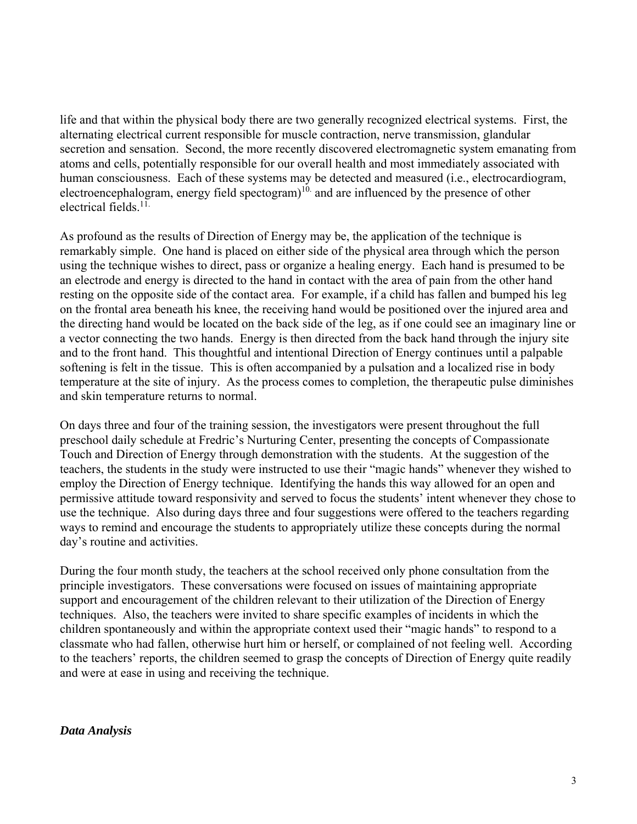life and that within the physical body there are two generally recognized electrical systems. First, the alternating electrical current responsible for muscle contraction, nerve transmission, glandular secretion and sensation. Second, the more recently discovered electromagnetic system emanating from atoms and cells, potentially responsible for our overall health and most immediately associated with human consciousness. Each of these systems may be detected and measured (i.e., electrocardiogram, electroencephalogram, energy field spectogram)<sup>10.</sup> and are influenced by the presence of other electrical fields.11.

As profound as the results of Direction of Energy may be, the application of the technique is remarkably simple. One hand is placed on either side of the physical area through which the person using the technique wishes to direct, pass or organize a healing energy. Each hand is presumed to be an electrode and energy is directed to the hand in contact with the area of pain from the other hand resting on the opposite side of the contact area. For example, if a child has fallen and bumped his leg on the frontal area beneath his knee, the receiving hand would be positioned over the injured area and the directing hand would be located on the back side of the leg, as if one could see an imaginary line or a vector connecting the two hands. Energy is then directed from the back hand through the injury site and to the front hand. This thoughtful and intentional Direction of Energy continues until a palpable softening is felt in the tissue. This is often accompanied by a pulsation and a localized rise in body temperature at the site of injury. As the process comes to completion, the therapeutic pulse diminishes and skin temperature returns to normal.

On days three and four of the training session, the investigators were present throughout the full preschool daily schedule at Fredric's Nurturing Center, presenting the concepts of Compassionate Touch and Direction of Energy through demonstration with the students. At the suggestion of the teachers, the students in the study were instructed to use their "magic hands" whenever they wished to employ the Direction of Energy technique. Identifying the hands this way allowed for an open and permissive attitude toward responsivity and served to focus the students' intent whenever they chose to use the technique. Also during days three and four suggestions were offered to the teachers regarding ways to remind and encourage the students to appropriately utilize these concepts during the normal day's routine and activities.

During the four month study, the teachers at the school received only phone consultation from the principle investigators. These conversations were focused on issues of maintaining appropriate support and encouragement of the children relevant to their utilization of the Direction of Energy techniques. Also, the teachers were invited to share specific examples of incidents in which the children spontaneously and within the appropriate context used their "magic hands" to respond to a classmate who had fallen, otherwise hurt him or herself, or complained of not feeling well. According to the teachers' reports, the children seemed to grasp the concepts of Direction of Energy quite readily and were at ease in using and receiving the technique.

### *Data Analysis*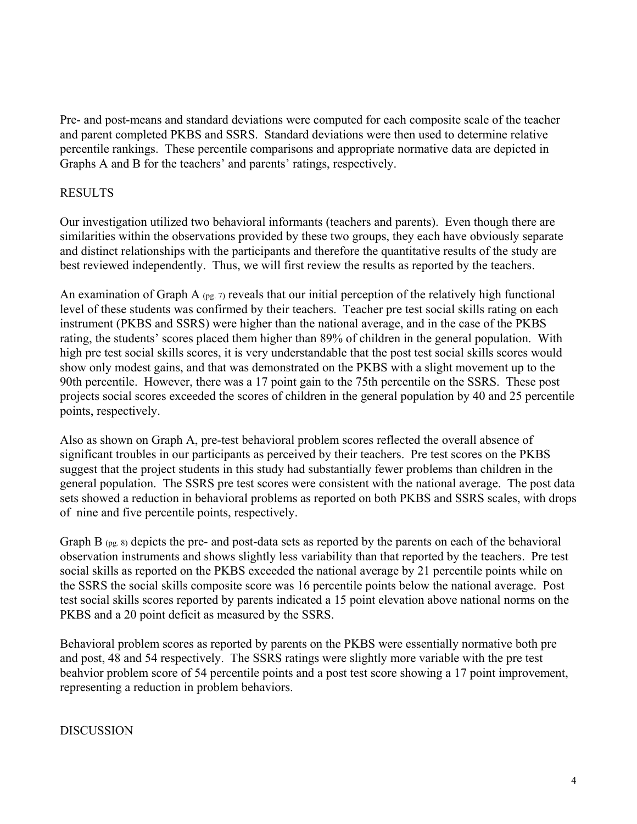Pre- and post-means and standard deviations were computed for each composite scale of the teacher and parent completed PKBS and SSRS. Standard deviations were then used to determine relative percentile rankings. These percentile comparisons and appropriate normative data are depicted in Graphs A and B for the teachers' and parents' ratings, respectively.

# RESULTS

Our investigation utilized two behavioral informants (teachers and parents). Even though there are similarities within the observations provided by these two groups, they each have obviously separate and distinct relationships with the participants and therefore the quantitative results of the study are best reviewed independently. Thus, we will first review the results as reported by the teachers.

An examination of Graph A  $_{(pg. 7)}$  reveals that our initial perception of the relatively high functional level of these students was confirmed by their teachers. Teacher pre test social skills rating on each instrument (PKBS and SSRS) were higher than the national average, and in the case of the PKBS rating, the students' scores placed them higher than 89% of children in the general population. With high pre test social skills scores, it is very understandable that the post test social skills scores would show only modest gains, and that was demonstrated on the PKBS with a slight movement up to the 90th percentile. However, there was a 17 point gain to the 75th percentile on the SSRS. These post projects social scores exceeded the scores of children in the general population by 40 and 25 percentile points, respectively.

Also as shown on Graph A, pre-test behavioral problem scores reflected the overall absence of significant troubles in our participants as perceived by their teachers. Pre test scores on the PKBS suggest that the project students in this study had substantially fewer problems than children in the general population. The SSRS pre test scores were consistent with the national average. The post data sets showed a reduction in behavioral problems as reported on both PKBS and SSRS scales, with drops of nine and five percentile points, respectively.

Graph B (pg. 8) depicts the pre- and post-data sets as reported by the parents on each of the behavioral observation instruments and shows slightly less variability than that reported by the teachers. Pre test social skills as reported on the PKBS exceeded the national average by 21 percentile points while on the SSRS the social skills composite score was 16 percentile points below the national average. Post test social skills scores reported by parents indicated a 15 point elevation above national norms on the PKBS and a 20 point deficit as measured by the SSRS.

Behavioral problem scores as reported by parents on the PKBS were essentially normative both pre and post, 48 and 54 respectively. The SSRS ratings were slightly more variable with the pre test beahvior problem score of 54 percentile points and a post test score showing a 17 point improvement, representing a reduction in problem behaviors.

### DISCUSSION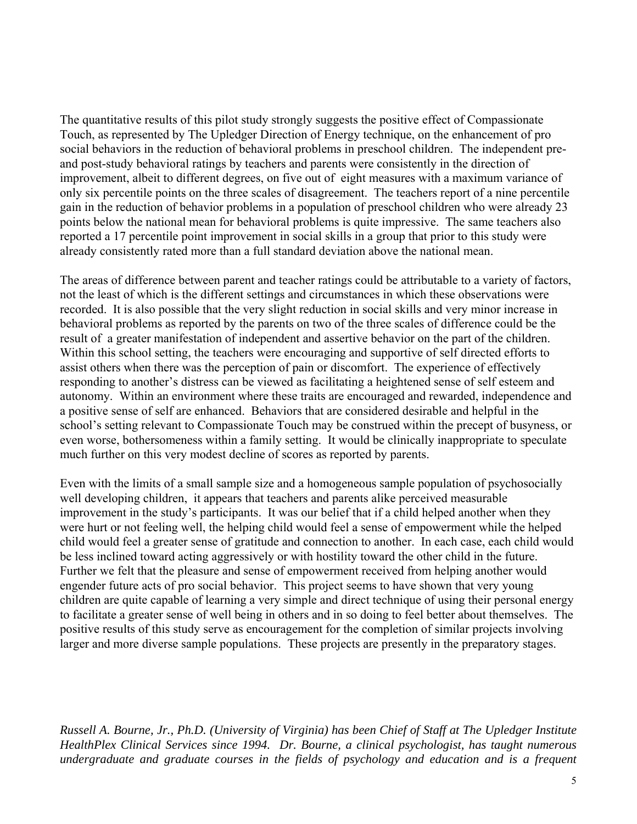The quantitative results of this pilot study strongly suggests the positive effect of Compassionate Touch, as represented by The Upledger Direction of Energy technique, on the enhancement of pro social behaviors in the reduction of behavioral problems in preschool children. The independent preand post-study behavioral ratings by teachers and parents were consistently in the direction of improvement, albeit to different degrees, on five out of eight measures with a maximum variance of only six percentile points on the three scales of disagreement. The teachers report of a nine percentile gain in the reduction of behavior problems in a population of preschool children who were already 23 points below the national mean for behavioral problems is quite impressive. The same teachers also reported a 17 percentile point improvement in social skills in a group that prior to this study were already consistently rated more than a full standard deviation above the national mean.

The areas of difference between parent and teacher ratings could be attributable to a variety of factors, not the least of which is the different settings and circumstances in which these observations were recorded. It is also possible that the very slight reduction in social skills and very minor increase in behavioral problems as reported by the parents on two of the three scales of difference could be the result of a greater manifestation of independent and assertive behavior on the part of the children. Within this school setting, the teachers were encouraging and supportive of self directed efforts to assist others when there was the perception of pain or discomfort. The experience of effectively responding to another's distress can be viewed as facilitating a heightened sense of self esteem and autonomy. Within an environment where these traits are encouraged and rewarded, independence and a positive sense of self are enhanced. Behaviors that are considered desirable and helpful in the school's setting relevant to Compassionate Touch may be construed within the precept of busyness, or even worse, bothersomeness within a family setting. It would be clinically inappropriate to speculate much further on this very modest decline of scores as reported by parents.

Even with the limits of a small sample size and a homogeneous sample population of psychosocially well developing children, it appears that teachers and parents alike perceived measurable improvement in the study's participants. It was our belief that if a child helped another when they were hurt or not feeling well, the helping child would feel a sense of empowerment while the helped child would feel a greater sense of gratitude and connection to another. In each case, each child would be less inclined toward acting aggressively or with hostility toward the other child in the future. Further we felt that the pleasure and sense of empowerment received from helping another would engender future acts of pro social behavior. This project seems to have shown that very young children are quite capable of learning a very simple and direct technique of using their personal energy to facilitate a greater sense of well being in others and in so doing to feel better about themselves. The positive results of this study serve as encouragement for the completion of similar projects involving larger and more diverse sample populations. These projects are presently in the preparatory stages.

*Russell A. Bourne, Jr., Ph.D. (University of Virginia) has been Chief of Staff at The Upledger Institute HealthPlex Clinical Services since 1994. Dr. Bourne, a clinical psychologist, has taught numerous undergraduate and graduate courses in the fields of psychology and education and is a frequent*